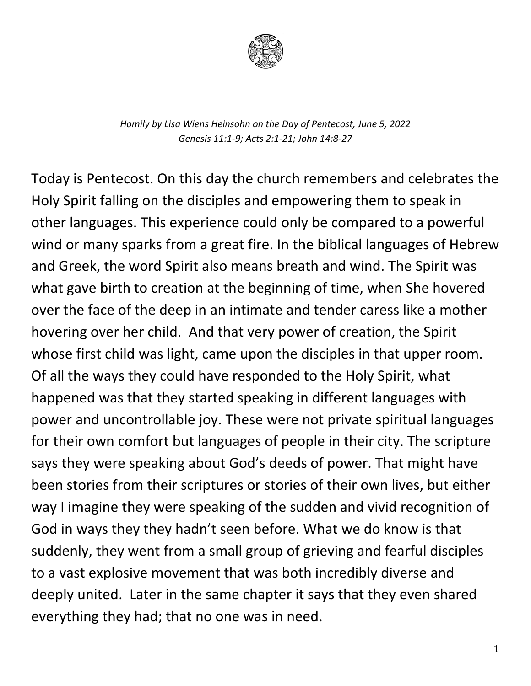

*Homily by Lisa Wiens Heinsohn on the Day of Pentecost, June 5, 2022 Genesis 11:1-9; Acts 2:1-21; John 14:8-27*

Today is Pentecost. On this day the church remembers and celebrates the Holy Spirit falling on the disciples and empowering them to speak in other languages. This experience could only be compared to a powerful wind or many sparks from a great fire. In the biblical languages of Hebrew and Greek, the word Spirit also means breath and wind. The Spirit was what gave birth to creation at the beginning of time, when She hovered over the face of the deep in an intimate and tender caress like a mother hovering over her child. And that very power of creation, the Spirit whose first child was light, came upon the disciples in that upper room. Of all the ways they could have responded to the Holy Spirit, what happened was that they started speaking in different languages with power and uncontrollable joy. These were not private spiritual languages for their own comfort but languages of people in their city. The scripture says they were speaking about God's deeds of power. That might have been stories from their scriptures or stories of their own lives, but either way I imagine they were speaking of the sudden and vivid recognition of God in ways they they hadn't seen before. What we do know is that suddenly, they went from a small group of grieving and fearful disciples to a vast explosive movement that was both incredibly diverse and deeply united. Later in the same chapter it says that they even shared everything they had; that no one was in need.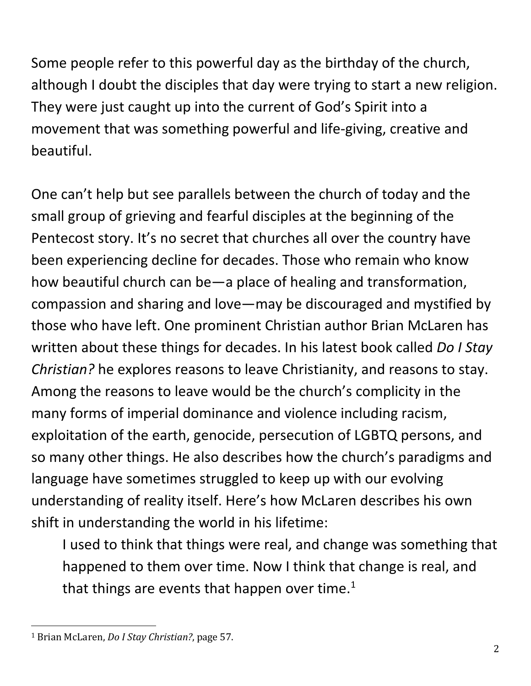Some people refer to this powerful day as the birthday of the church, although I doubt the disciples that day were trying to start a new religion. They were just caught up into the current of God's Spirit into a movement that was something powerful and life-giving, creative and beautiful.

One can't help but see parallels between the church of today and the small group of grieving and fearful disciples at the beginning of the Pentecost story. It's no secret that churches all over the country have been experiencing decline for decades. Those who remain who know how beautiful church can be—a place of healing and transformation, compassion and sharing and love—may be discouraged and mystified by those who have left. One prominent Christian author Brian McLaren has written about these things for decades. In his latest book called *Do I Stay Christian?* he explores reasons to leave Christianity, and reasons to stay. Among the reasons to leave would be the church's complicity in the many forms of imperial dominance and violence including racism, exploitation of the earth, genocide, persecution of LGBTQ persons, and so many other things. He also describes how the church's paradigms and language have sometimes struggled to keep up with our evolving understanding of reality itself. Here's how McLaren describes his own shift in understanding the world in his lifetime:

I used to think that things were real, and change was something that happened to them over time. Now I think that change is real, and that things are events that happen over time. $1$ 

<span id="page-1-0"></span> <sup>1</sup> Brian McLaren, *Do I Stay Christian?*, page 57.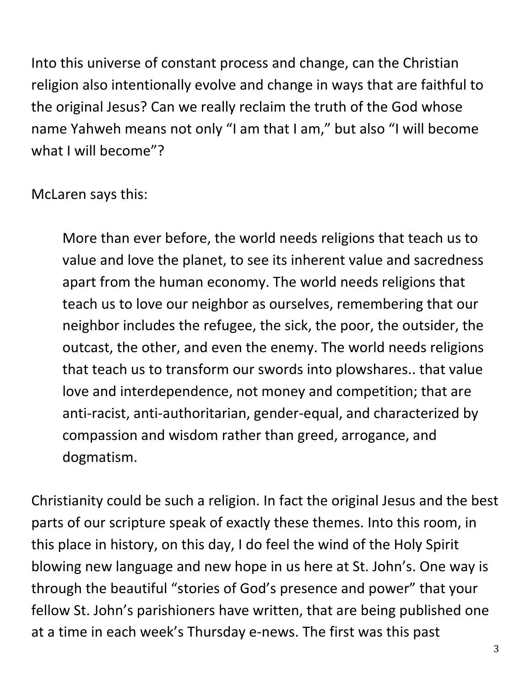Into this universe of constant process and change, can the Christian religion also intentionally evolve and change in ways that are faithful to the original Jesus? Can we really reclaim the truth of the God whose name Yahweh means not only "I am that I am," but also "I will become what I will become"?

McLaren says this:

More than ever before, the world needs religions that teach us to value and love the planet, to see its inherent value and sacredness apart from the human economy. The world needs religions that teach us to love our neighbor as ourselves, remembering that our neighbor includes the refugee, the sick, the poor, the outsider, the outcast, the other, and even the enemy. The world needs religions that teach us to transform our swords into plowshares.. that value love and interdependence, not money and competition; that are anti-racist, anti-authoritarian, gender-equal, and characterized by compassion and wisdom rather than greed, arrogance, and dogmatism.

Christianity could be such a religion. In fact the original Jesus and the best parts of our scripture speak of exactly these themes. Into this room, in this place in history, on this day, I do feel the wind of the Holy Spirit blowing new language and new hope in us here at St. John's. One way is through the beautiful "stories of God's presence and power" that your fellow St. John's parishioners have written, that are being published one at a time in each week's Thursday e-news. The first was this past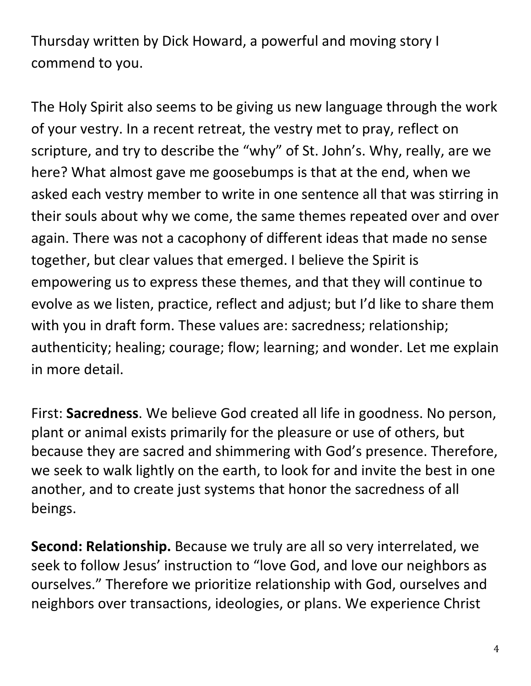Thursday written by Dick Howard, a powerful and moving story I commend to you.

The Holy Spirit also seems to be giving us new language through the work of your vestry. In a recent retreat, the vestry met to pray, reflect on scripture, and try to describe the "why" of St. John's. Why, really, are we here? What almost gave me goosebumps is that at the end, when we asked each vestry member to write in one sentence all that was stirring in their souls about why we come, the same themes repeated over and over again. There was not a cacophony of different ideas that made no sense together, but clear values that emerged. I believe the Spirit is empowering us to express these themes, and that they will continue to evolve as we listen, practice, reflect and adjust; but I'd like to share them with you in draft form. These values are: sacredness; relationship; authenticity; healing; courage; flow; learning; and wonder. Let me explain in more detail.

First: **Sacredness**. We believe God created all life in goodness. No person, plant or animal exists primarily for the pleasure or use of others, but because they are sacred and shimmering with God's presence. Therefore, we seek to walk lightly on the earth, to look for and invite the best in one another, and to create just systems that honor the sacredness of all beings.

**Second: Relationship.** Because we truly are all so very interrelated, we seek to follow Jesus' instruction to "love God, and love our neighbors as ourselves." Therefore we prioritize relationship with God, ourselves and neighbors over transactions, ideologies, or plans. We experience Christ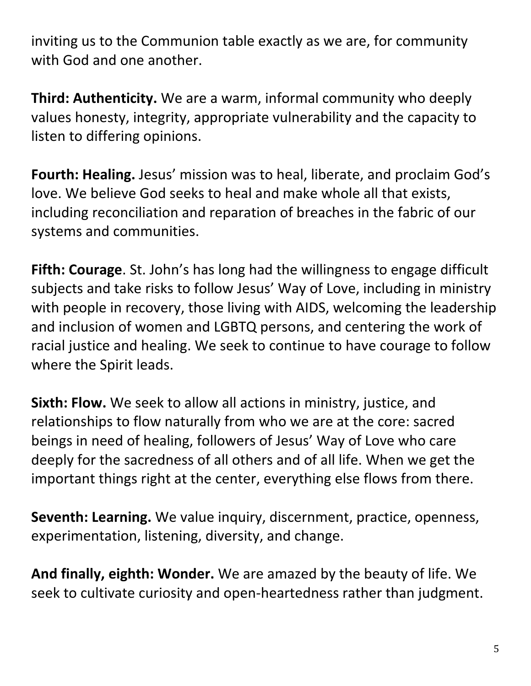inviting us to the Communion table exactly as we are, for community with God and one another.

**Third: Authenticity.** We are a warm, informal community who deeply values honesty, integrity, appropriate vulnerability and the capacity to listen to differing opinions.

**Fourth: Healing.** Jesus' mission was to heal, liberate, and proclaim God's love. We believe God seeks to heal and make whole all that exists, including reconciliation and reparation of breaches in the fabric of our systems and communities.

**Fifth: Courage**. St. John's has long had the willingness to engage difficult subjects and take risks to follow Jesus' Way of Love, including in ministry with people in recovery, those living with AIDS, welcoming the leadership and inclusion of women and LGBTQ persons, and centering the work of racial justice and healing. We seek to continue to have courage to follow where the Spirit leads.

**Sixth: Flow.** We seek to allow all actions in ministry, justice, and relationships to flow naturally from who we are at the core: sacred beings in need of healing, followers of Jesus' Way of Love who care deeply for the sacredness of all others and of all life. When we get the important things right at the center, everything else flows from there.

**Seventh: Learning.** We value inquiry, discernment, practice, openness, experimentation, listening, diversity, and change.

**And finally, eighth: Wonder.** We are amazed by the beauty of life. We seek to cultivate curiosity and open-heartedness rather than judgment.